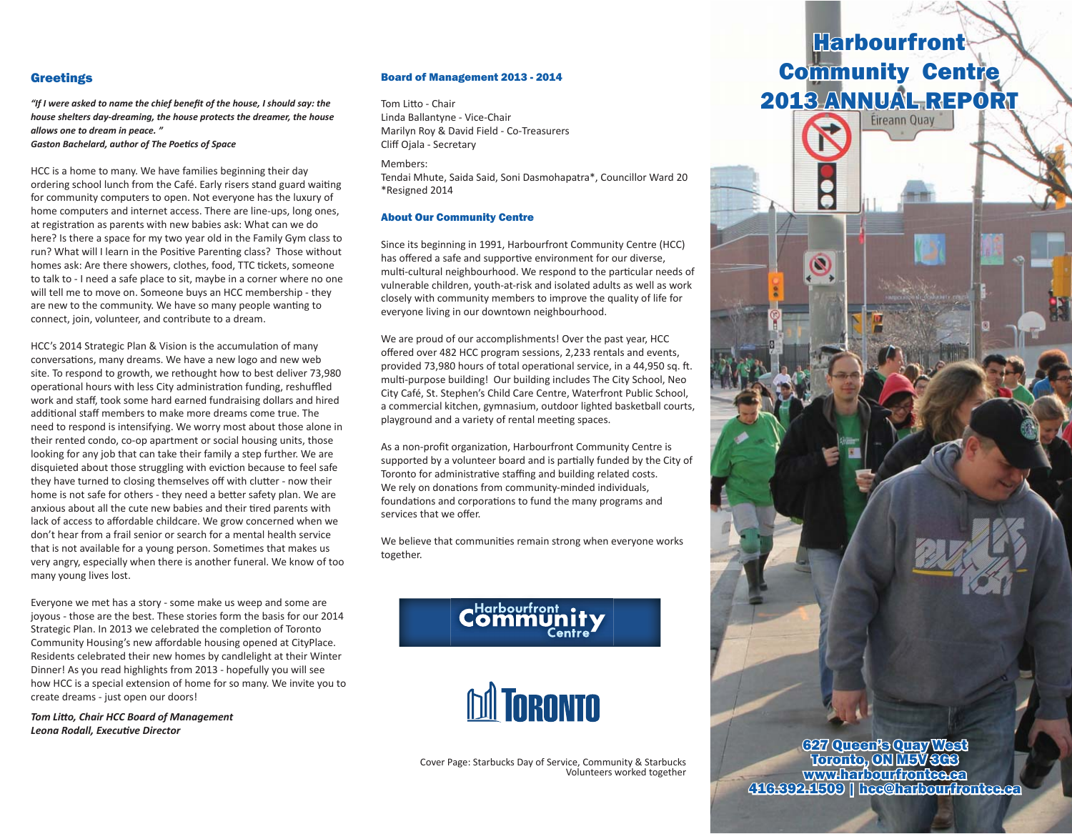### **Greetings** "If I were asked to name the chief bene t of the house, I should say: the same the same that is how

*"If I were asked to name the chief bene t of the house, I should say: the "If I were asked to name the chief bene t of the house, I should say: the allows one to dream in peace. " house shelters day-dreaming, the house protects the dreamer, the house house shelters day-dreaming, the house protects the dreamer, the house Gaston Bachelard, author of The PoeƟ cs of Space allows one to dream in peace. " allows one to dream in peace. "* 

*Gaston Bachelard, author of The PoeƟ cs of Space Gaston Bachelard, author of The PoeƟ cs of Space* HCC is a home to many. We have families beginning their day

HCC is a home to many. We have families beginning their day ordering school lunch from the Café. Early risers stand guard waiting for community computers to open. Not everyone has the luxury of home computers and internet access. There are line-ups, long ones, at registration as parents with new babies ask: What can we do here? Is there a space for my two year old in the Family Gym class to run? What will I learn in the Positive Parenting class? Those without homes ask: Are there showers, clothes, food, TTC tickets, someone to talk to - I need a safe place to sit, maybe in a corner where no one will tell me to move on. Someone buys an HCC membership - they will tell are new to the community. We have so many people wanting to a connect join, we have so many people wanting to connect, join, volunteer, and contribute to a dream. connect, join, volunteer, and contribute to a dream.

HCC's 2014 Strategic Plan & Vision is the accumulation of many conversations, many dreams. We have a new logo and new web site. To respond to growth, we rethought how to best deliver 73,980 site. To respond to growth, we rethought how to best deliver 73,980 site. To respond to growth, we rethought how to best deliver 73,980 operational hours with less City administration funding, reshuffled work and staff, took some hard earned fundraising dollars and hired additional staff members to make more dreams come true. The need to respond is intensifying. We worry most about those alone in need to respond is intensifying. We worry most about those alone in need to respond is intensifying. We worry most about those alone in their rented condo, co-op apartment or social housing units, those their rented condo, co-op apartment or social housing units, those their rented condo, co-op apartment or social housing units, those looking for any job that can take their family a step further. We are looking for any job that can take their family a step further. We are looking for any job that can take their family a step further. We are disquieted about those struggling with eviction because to feel safe they have turned to closing themselves off with clutter - now their they have turned to closing themselves on with clutter - now their<br>home is not safe for others - they need a better safety plan. We are home is not safe for others - they need a better safety plan. We are<br>anxious about all the cute new babies and their tired parents with anxious about all the cute new babies and their theu parents with don't hear from a frail senior or search for a mental health service<br>don't hear from a frail senior or search for a mental health service that is not available for a young person. Sometimes that makes us very angry, especially when there is another funeral. We know of too many young lives lost.

Everyone we met has a story - some make us weep and some are Everyone we met has a story - some make us weep and some are joyous - those are the best. These stories form the basis for our 2014 Strategic Plan. In 2013 we celebrated the completion of Toronto Community Housing's new affordable housing opened at CityPlace. Residents celebrated their new homes by candlelight at their Winter<br>
Community Housing opened at CityPlace. Dinner! As you read highlights from 2013 - hopefully you will see Dinner! As you read highlights from 2013 - hopefully you will see binner: As you read inginights noni 2013 - hoperany you win see<br>how HCC is a special extension of home for so many. We invite you to now rice is a special extension of nome for so many, we made you readed heads from 2013 - hope from 2013 - hope  $h_{\text{c}}$  is a special extension of the solution of the solution of  $h_{\text{c}}$ 

*Tom LiƩ o, Chair HCC Board of Management Tom LiƩ o, Chair HCC Board of Management* create dreams - just open our doors! *Leona Rodall, ExecuƟ ve Director Leona Rodall, ExecuƟ ve Director*

### Board of Management 2013 - 2014

Tom Litto - Chair<br>Marie Barnes - Co-Treasurers Linda Ballantyne - Vice-Chair Marilyn Roy & David Field - Co-Treasurers Marilyn Roy & David Field - Co-Treasurers Cliff Ojala - Secretary Cliff Ojala - Secretary Members:

Members: Members: Tendai Mhute, Saida Said, Soni Dasmohapatra\*, Councillor Ward 20 Tendai Mhute, Saida Said, Soni Dasmohapatra\*, Councillor Ward 20 \*Resigned 2014 \*Resigned 2014 \*Resigned 2014 Members, Said, Saida Saida Saida Said, Said, Said, Said, Said, Said, Said, Said, Said, Said, Said, Said, Said,

#### About Our Community Centre About Our Community Centre

Since its beginning in 1991, Harbourfront Community Centre (HCC) has offered a safe and supportive environment for our diverse, multi-cultural neighbourhood. We respond to the particular needs of vulnerable children, youth-at-risk and isolated adults as well as work<br>
community members to improve the quality of life for a summer of life for any community of life for the quality of life for any community of life for closely with community members to improve the quality of life for closely with community members to improve the quality of life for everyone living in our downtown neighbourhood. everyone living in our downtown neighbourhood. everyone living in our downtown neighbourhood.

We are proud of our accomplishments! Over the past year, HCC We are proud of our accomplishments! Over the past year, HCC We are proud of our accomplishments! Over the past year, HCC off ered over 482 HCC program sessions, 2,233 rentals and events, off ered over 482 HCC program sessions, 2,233 rentals and events, off ered over 482 HCC program sessions, 2,233 rentals and events, provided 73,980 hours of total operational service, in a 44,950 sq. ft. multi-purpose building! Our building includes The City School, Neo City Café, St. Stephen's Child Care Centre, Waterfront Public School, City Café, St. Stephen's Child Care Centre, Waterfront Public School, City Café, St. Stephen's Child Care Centre, Waterfront Public School, a commercial kitchen, gymnasium, outdoor lighted basketball courts, a commercial kitchen, gymnasium, outdoor lighted basketball courts, a commercial kitchen, gymnasium, outdoor lighted basketball courts, playground and a variety of rental meeting spaces.

As a non-profit organization, Harbourfront Community Centre is supported by a volunteer board and is partially funded by the City of Toronto for administrative staffing and building related costs.<br>
We also contribute the cost of the costs. We rely on donations from community-minded individuals, we rely on donadons from community-minded individuals,<br>foundations and corporations to fund the many programs and services that we offer. foundations and corporations to fund the many programs and services that we offer.

We believe that communities remain strong when everyone works together. together.  $\mathcal{L}$  together.





*Volunteers worked together Volunteers worked together* Cover Page: Starbucks Day of Service, Community & Starbucks *Cover Page: 2013 Day of Service, Community & Starbucks*  Volunteers worked together

## **Community Centre** 2013 ANNUAL REPORT **2013 Annual Report Fireanni Quay Harbourfront**

 $\circledS$ 

627 Queen's Quay West  $\sim$ www.harbourg.com 16.392.1509 | horonto, ON M5V 3G3

627 Queen's Quay West  $\sim$ 627 Queen's Quay West

www.harbourfrontce.ca 416.392.1509 | hec@harbourfrontce.ca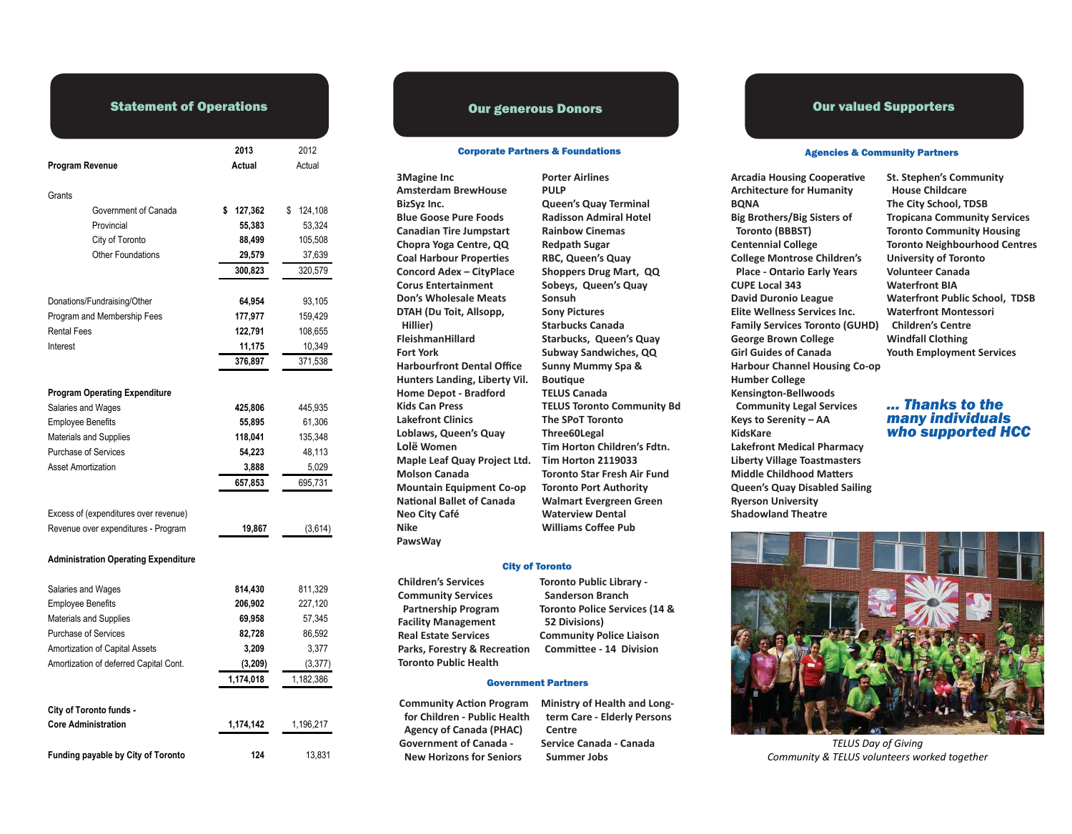### **Statement of Operations**

|                                                                              | 2013          | 2012          |
|------------------------------------------------------------------------------|---------------|---------------|
| Program Revenue                                                              | Actual        | Actual        |
| Grants                                                                       |               |               |
| Government of Canada                                                         | 127,362<br>\$ | \$<br>124,108 |
| Provincial                                                                   | 55,383        | 53,324        |
| City of Toronto                                                              | 88,499        | 105,508       |
| <b>Other Foundations</b>                                                     | 29,579        | 37,639        |
|                                                                              | 300,823       | 320,579       |
|                                                                              |               |               |
| Donations/Fundraising/Other                                                  | 64,954        | 93,105        |
| Program and Membership Fees                                                  | 177,977       | 159,429       |
| <b>Rental Fees</b>                                                           | 122,791       | 108,655       |
| Interest                                                                     | 11,175        | 10,349        |
|                                                                              | 376,897       | 371,538       |
| <b>Program Operating Expenditure</b>                                         |               |               |
| Salaries and Wages                                                           | 425,806       | 445,935       |
| <b>Employee Benefits</b>                                                     | 55,895        | 61,306        |
| <b>Materials and Supplies</b>                                                | 118,041       | 135,348       |
| <b>Purchase of Services</b>                                                  | 54,223        | 48,113        |
| <b>Asset Amortization</b>                                                    | 3,888         | 5,029         |
|                                                                              | 657,853       | 695,731       |
|                                                                              |               |               |
| Excess of (expenditures over revenue)<br>Revenue over expenditures - Program | 19,867        |               |
|                                                                              |               | (3,614)       |
| <b>Administration Operating Expenditure</b>                                  |               |               |
| Salaries and Wages                                                           | 814,430       | 811,329       |
| <b>Employee Benefits</b>                                                     | 206,902       | 227,120       |
| <b>Materials and Supplies</b>                                                | 69,958        | 57,345        |
| <b>Purchase of Services</b>                                                  | 82,728        | 86,592        |
| Amortization of Capital Assets                                               | 3,209         | 3,377         |
| Amortization of deferred Capital Cont.                                       | (3, 209)      | (3, 377)      |
|                                                                              | 1,174,018     | 1,182,386     |
|                                                                              |               |               |
| City of Toronto funds -<br>Core Administration                               | 1 174 142     | 1 196 217     |

124

13,831

Funding payable by City of Toronto

**Our generous Donors** 

#### **Corporate Partners & Foundations**

**3Magine Inc Amsterdam BrewHouse** BizSyz Inc. **Blue Goose Pure Foods Canadian Tire Jumpstart** Chopra Yoga Centre, QQ **Coal Harbour Properties Concord Adex - CityPlace Corus Entertainment** Don's Wholesale Meats DTAH (Du Toit, Allsopp, Hillier) FleishmanHillard **Fort York Harbourfront Dental Office** Hunters Landing, Liberty Vil. **Home Depot - Bradford Kids Can Press Lakefront Clinics** Loblaws, Queen's Quay Lolë Women Maple Leaf Quay Project Ltd. **Molson Canada Mountain Equipment Co-op National Ballet of Canada** Neo City Café **Nike** PawsWay

**Porter Airlines PULP Queen's Quay Terminal Radisson Admiral Hotel Rainbow Cinemas Redpath Sugar RBC, Queen's Quay** Shoppers Drug Mart, QQ Sobeys, Queen's Quay Sonsuh **Sony Pictures Starbucks Canada** Starbucks, Queen's Quay Subway Sandwiches, QQ Sunny Mummy Spa & Boutique **TELUS Canada TELUS Toronto Community Bd** The SPoT Toronto Three60Legal Tim Horton Children's Fdtn. **Tim Horton 2119033 Toronto Star Fresh Air Fund Toronto Port Authority Walmart Evergreen Green Waterview Dental Williams Coffee Pub** 

#### **City of Toronto**

**Children's Services Community Services Partnership Program Facility Management Real Estate Services** Parks, Forestry & Recreation **Toronto Public Health** 

#### **Government Partners**

**Community Action Program** for Children - Public Health **Agency of Canada (PHAC) Government of Canada -New Horizons for Seniors** 

Ministry of Health and Longterm Care - Elderly Persons Centre Service Canada - Canada **Summer Jobs** 

**Toronto Public Library -**

**Toronto Police Services (14 &** 

**Community Police Liaison** 

Committee - 14 Division

**Sanderson Branch** 

52 Divisions)

#### **Our valued Supporters**

#### **Agencies & Community Partners**

**Arcadia Housing Cooperative Architecture for Humanity BQNA Big Brothers/Big Sisters of Toronto (BBBST) Centennial College College Montrose Children's Place - Ontario Early Years CUPE Local 343 David Duronio League Elite Wellness Services Inc. Family Services Toronto (GUHD) George Brown College Girl Guides of Canada Harbour Channel Housing Co-op Humber College** Kensington-Bellwoods **Community Legal Services** Keys to Serenity - AA KidsKare **Lakefront Medical Pharmacy Liberty Village Toastmasters Middle Childhood Matters Queen's Quay Disabled Sailing Rverson University Shadowland Theatre** 

**St. Stephen's Community House Childcare** The City School, TDSB **Tropicana Community Services Toronto Community Housing Toronto Neighbourhood Centres University of Toronto Volunteer Canada Waterfront BIA Waterfront Public School, TDSB Waterfront Montessori Children's Centre Windfall Clothing Youth Employment Services** 

#### ... Thanks to the many individuals who supported HCC



**TELUS Day of Giving** Community & TELUS volunteers worked together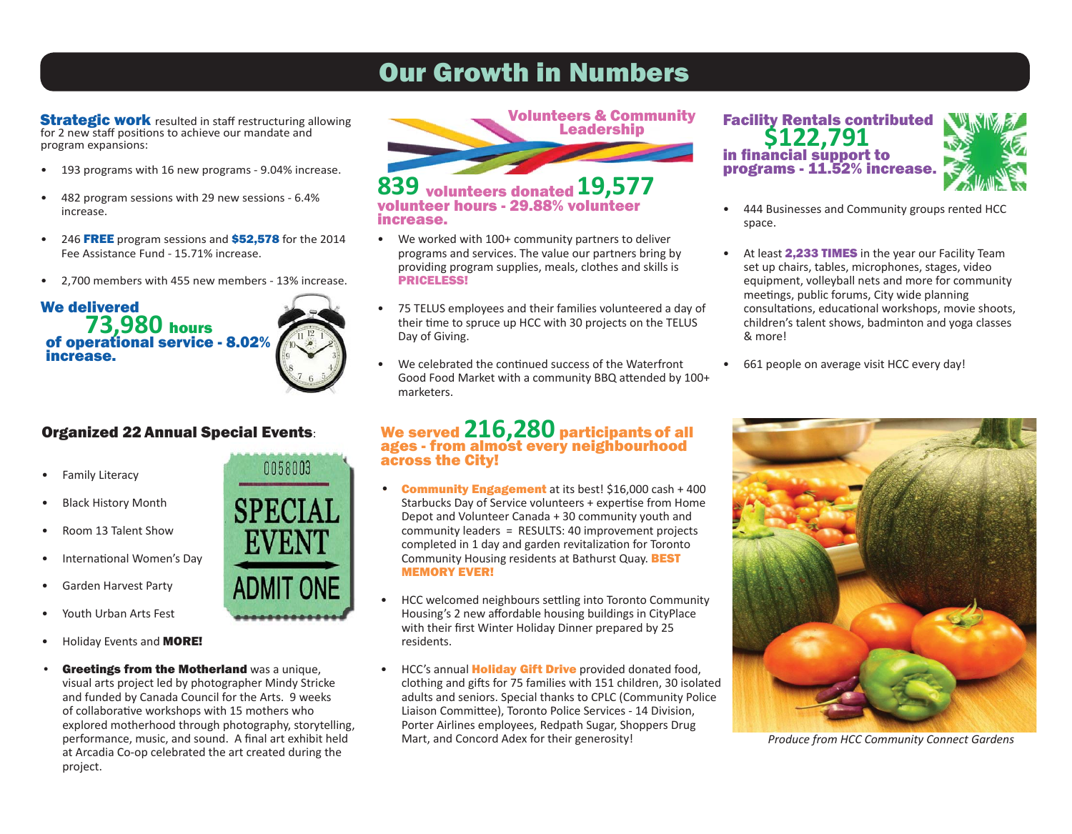# Our Growth in Numbers

**Strategic work** resulted in staff restructuring allowing for 2 new staff positions to achieve our mandate and program expansions:

- 193 programs with 16 new programs 9.04% increase.
- 482 program sessions with 29 new sessions 6.4% increase.
- 246 FREE program sessions and \$52,578 for the 2014 Fee Assistance Fund - 15.71% increase.
- 2,700 members with 455 new members 13% increase.

### We delivered **73,980** hours of operational service - 8.02%  $\left(\sqrt[3]{\frac{1}{2}}\right)$ increase.

## Organized 22 Annual Special Events:

- 
- Black History Month
- 
- International Women's Day
- 
- Youth Urban Arts Fest
- Holiday Events and **MORE!**
- Greetings from the Motherland was a unique, visual arts project led by photographer Mindy Stricke and funded by Canada Council for the Arts. 9 weeks of collabora� ve workshops with 15 mothers who We served **216,280** participants of all explored motherhood through photography, storytelling, performance, music, and sound. A final art exhibit held at Arcadia Co-op celebrated the art created during the project. Greeting  $\alpha$  project.





### **839** volunteers donated **19,577** volunteer hours - 29.88% volunteer increase.

- We worked with 100+ community partners to deliver programs and services. The value our partners bring by providing program supplies, meals, clothes and skills is PRICELESS!
- 75 TELUS employees and their families volunteered a day of their time to spruce up HCC with 30 projects on the TELUS Day of Giving.
- We celebrated the continued success of the Waterfront Good Food Market with a community BBQ attended by 100+ marketers. volume and community Community Rentals contributed by  $\mathcal{L}(\mathcal{C})$

#### We served **216,280** participants of all ages - from almost every neighbourhood across the City! w<sub>e served</sub> 216,280 ages - from almost every nei

- Community Engagement at its best! \$16,000 cash + 400 Starbucks Day of Service volunteers + expertise from Home Depot and Volunteer Canada + 30 community youth and community leaders = RESULTS: 40 improvement projects completed in 1 day and garden revitalization for Toronto Community Housing residents at Bathurst Quay. **BEST MEMORY EVER!**
- HCC welcomed neighbours settling into Toronto Community Housing's 2 new affordable housing buildings in CityPlace with their first Winter Holiday Dinner prepared by 25 residents. HCC welcomed neighbours settling into Toronto Com
- HCC's annual **Holiday Gift Drive** provided donated food, clothing and gifts for 75 families with 151 children, 30 isolated adults and seniors. Special thanks to CPLC (Community Police Liaison Committee), Toronto Police Services - 14 Division, Porter Airlines employees, Redpath Sugar, Shoppers Drug<br>Mart, and Concord Adex for their generosity!



- 444 Businesses and Community groups rented HCC space.
- At least 2,233 TIMES in the year our Facility Team set up chairs, tables, microphones, stages, video equipment, volleyball nets and more for community meetings, public forums, City wide planning consultations, educational workshops, movie shoots, children's talent shows, badminton and yoga classes & more!
- 661 people on average visit HCC every day!



Produce from HCC Community Connect Gardens